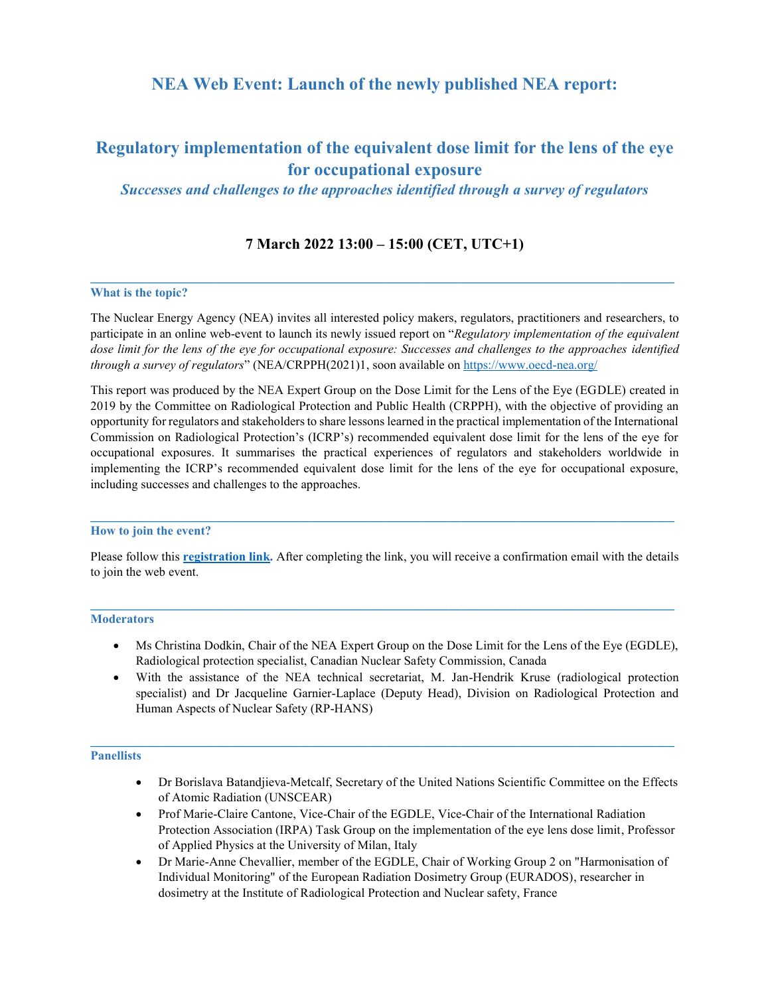## **NEA Web Event: Launch of the newly published NEA report:**

# **Regulatory implementation of the equivalent dose limit for the lens of the eye for occupational exposure**

### *Successes and challenges to the approaches identified through a survey of regulators*

### **7 March 2022 13:00 – 15:00 (CET, UTC+1)**

**\_\_\_\_\_\_\_\_\_\_\_\_\_\_\_\_\_\_\_\_\_\_\_\_\_\_\_\_\_\_\_\_\_\_\_\_\_\_\_\_\_\_\_\_\_\_\_\_\_\_\_\_\_\_\_\_\_\_\_\_\_\_\_\_\_\_\_\_\_\_\_\_\_\_\_\_\_\_\_\_\_\_\_\_\_\_\_\_\_\_\_\_\_**

### **What is the topic?**

The Nuclear Energy Agency (NEA) invites all interested policy makers, regulators, practitioners and researchers, to participate in an online web-event to launch its newly issued report on "*Regulatory implementation of the equivalent dose limit for the lens of the eye for occupational exposure: Successes and challenges to the approaches identified through a survey of regulators*" (NEA/CRPPH(2021)1, soon available o[n https://www.oecd-nea.org/](https://www.oecd-nea.org/)

This report was produced by the NEA Expert Group on the Dose Limit for the Lens of the Eye (EGDLE) created in 2019 by the Committee on Radiological Protection and Public Health (CRPPH), with the objective of providing an opportunity for regulators and stakeholders to share lessons learned in the practical implementation of the International Commission on Radiological Protection's (ICRP's) recommended equivalent dose limit for the lens of the eye for occupational exposures. It summarises the practical experiences of regulators and stakeholders worldwide in implementing the ICRP's recommended equivalent dose limit for the lens of the eye for occupational exposure, including successes and challenges to the approaches.

### **How to join the event?**

Please follow this **[registration link.](https://oecd-nea.zoom.us/webinar/register/WN_kukZ_erNQ5ex0qwR9GzwJw)** After completing the link, you will receive a confirmation email with the details to join the web event.

**\_\_\_\_\_\_\_\_\_\_\_\_\_\_\_\_\_\_\_\_\_\_\_\_\_\_\_\_\_\_\_\_\_\_\_\_\_\_\_\_\_\_\_\_\_\_\_\_\_\_\_\_\_\_\_\_\_\_\_\_\_\_\_\_\_\_\_\_\_\_\_\_\_\_\_\_\_\_\_\_\_\_\_\_\_\_\_\_\_\_\_\_\_**

### **Moderators**

- Ms Christina Dodkin, Chair of the NEA Expert Group on the Dose Limit for the Lens of the Eye (EGDLE), Radiological protection specialist, Canadian Nuclear Safety Commission, Canada
- With the assistance of the NEA technical secretariat, M. Jan-Hendrik Kruse (radiological protection specialist) and Dr Jacqueline Garnier-Laplace (Deputy Head), Division on Radiological Protection and Human Aspects of Nuclear Safety (RP-HANS)

### **Panellists**

- Dr Borislava Batandjieva-Metcalf, Secretary of the United Nations Scientific Committee on the Effects of Atomic Radiation (UNSCEAR)
- Prof Marie-Claire Cantone, Vice-Chair of the EGDLE, Vice-Chair of the International Radiation Protection Association (IRPA) Task Group on the implementation of the eye lens dose limit, Professor of Applied Physics at the University of Milan, Italy
- Dr Marie-Anne Chevallier, member of the EGDLE, Chair of Working Group 2 on "Harmonisation of Individual Monitoring" of the European Radiation Dosimetry Group (EURADOS), researcher in dosimetry at the Institute of Radiological Protection and Nuclear safety, France